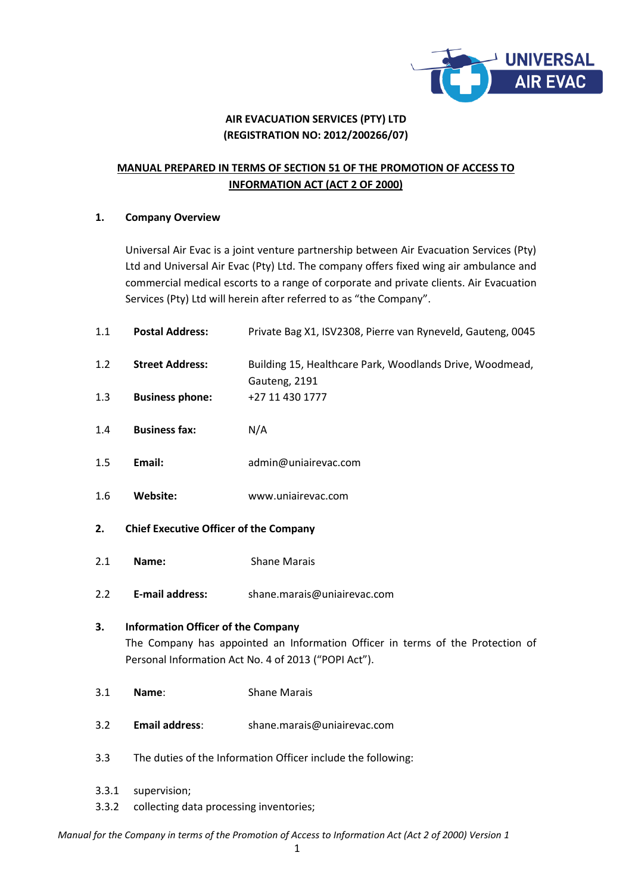

## **AIR EVACUATION SERVICES (PTY) LTD (REGISTRATION NO: 2012/200266/07)**

# **MANUAL PREPARED IN TERMS OF SECTION 51 OF THE PROMOTION OF ACCESS TO INFORMATION ACT (ACT 2 OF 2000)**

## **1. Company Overview**

Universal Air Evac is a joint venture partnership between Air Evacuation Services (Pty) Ltd and Universal Air Evac (Pty) Ltd. The company offers fixed wing air ambulance and commercial medical escorts to a range of corporate and private clients. Air Evacuation Services (Pty) Ltd will herein after referred to as "the Company".

| 1.1   | <b>Postal Address:</b>                                                                                                                                                              | Private Bag X1, ISV2308, Pierre van Ryneveld, Gauteng, 0045               |  |  |  |  |
|-------|-------------------------------------------------------------------------------------------------------------------------------------------------------------------------------------|---------------------------------------------------------------------------|--|--|--|--|
| 1.2   | <b>Street Address:</b>                                                                                                                                                              | Building 15, Healthcare Park, Woodlands Drive, Woodmead,<br>Gauteng, 2191 |  |  |  |  |
| 1.3   | <b>Business phone:</b>                                                                                                                                                              | +27 11 430 1777                                                           |  |  |  |  |
| 1.4   | <b>Business fax:</b>                                                                                                                                                                | N/A                                                                       |  |  |  |  |
| 1.5   | Email:                                                                                                                                                                              | admin@uniairevac.com                                                      |  |  |  |  |
| 1.6   | Website:                                                                                                                                                                            | www.uniairevac.com                                                        |  |  |  |  |
| 2.    | <b>Chief Executive Officer of the Company</b>                                                                                                                                       |                                                                           |  |  |  |  |
| 2.1   | Name:                                                                                                                                                                               | <b>Shane Marais</b>                                                       |  |  |  |  |
| 2.2   | <b>E-mail address:</b>                                                                                                                                                              | shane.marais@uniairevac.com                                               |  |  |  |  |
| 3.    | <b>Information Officer of the Company</b><br>The Company has appointed an Information Officer in terms of the Protection of<br>Personal Information Act No. 4 of 2013 ("POPI Act"). |                                                                           |  |  |  |  |
| 3.1   | Name:                                                                                                                                                                               | <b>Shane Marais</b>                                                       |  |  |  |  |
| 3.2   | <b>Email address:</b>                                                                                                                                                               | shane.marais@uniairevac.com                                               |  |  |  |  |
| 3.3   | The duties of the Information Officer include the following:                                                                                                                        |                                                                           |  |  |  |  |
| 3.3.1 | supervision;                                                                                                                                                                        |                                                                           |  |  |  |  |

3.3.2 collecting data processing inventories;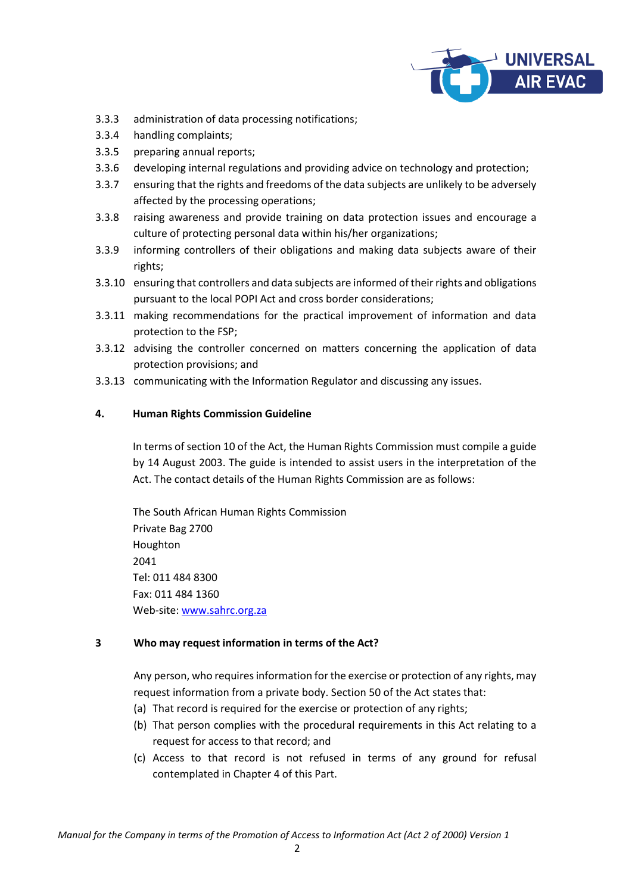

- 3.3.3 administration of data processing notifications;
- 3.3.4 handling complaints;
- 3.3.5 preparing annual reports;
- 3.3.6 developing internal regulations and providing advice on technology and protection;
- 3.3.7 ensuring that the rights and freedoms of the data subjects are unlikely to be adversely affected by the processing operations;
- 3.3.8 raising awareness and provide training on data protection issues and encourage a culture of protecting personal data within his/her organizations;
- 3.3.9 informing controllers of their obligations and making data subjects aware of their rights;
- 3.3.10 ensuring that controllers and data subjects are informed of their rights and obligations pursuant to the local POPI Act and cross border considerations;
- 3.3.11 making recommendations for the practical improvement of information and data protection to the FSP;
- 3.3.12 advising the controller concerned on matters concerning the application of data protection provisions; and
- 3.3.13 communicating with the Information Regulator and discussing any issues.

## **4. Human Rights Commission Guideline**

In terms of section 10 of the Act, the Human Rights Commission must compile a guide by 14 August 2003. The guide is intended to assist users in the interpretation of the Act. The contact details of the Human Rights Commission are as follows:

The South African Human Rights Commission Private Bag 2700 Houghton 2041 Tel: 011 484 8300 Fax: 011 484 1360 Web-site: [www.sahrc.org.za](http://www.sahrc.org.za/)

## **3 Who may request information in terms of the Act?**

Any person, who requires information for the exercise or protection of any rights, may request information from a private body. Section 50 of the Act states that:

- (a) That record is required for the exercise or protection of any rights;
- (b) That person complies with the procedural requirements in this Act relating to a request for access to that record; and
- (c) Access to that record is not refused in terms of any ground for refusal contemplated in Chapter 4 of this Part.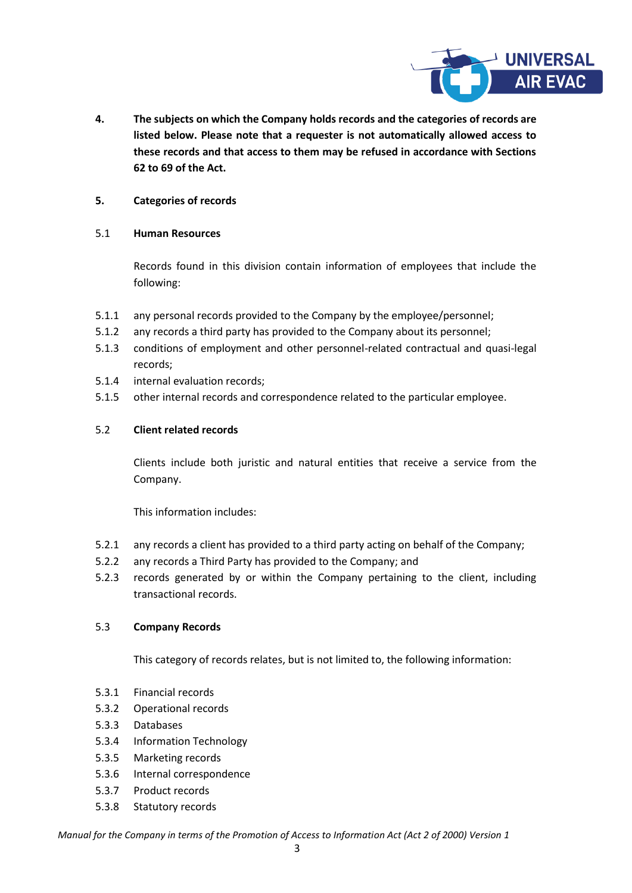

**4. The subjects on which the Company holds records and the categories of records are listed below. Please note that a requester is not automatically allowed access to these records and that access to them may be refused in accordance with Sections 62 to 69 of the Act.**

## **5. Categories of records**

## 5.1 **Human Resources**

Records found in this division contain information of employees that include the following:

- 5.1.1 any personal records provided to the Company by the employee/personnel;
- 5.1.2 any records a third party has provided to the Company about its personnel;
- 5.1.3 conditions of employment and other personnel-related contractual and quasi-legal records;
- 5.1.4 internal evaluation records;
- 5.1.5 other internal records and correspondence related to the particular employee.

## 5.2 **Client related records**

Clients include both juristic and natural entities that receive a service from the Company.

This information includes:

- 5.2.1 any records a client has provided to a third party acting on behalf of the Company;
- 5.2.2 any records a Third Party has provided to the Company; and
- 5.2.3 records generated by or within the Company pertaining to the client, including transactional records.

## 5.3 **Company Records**

This category of records relates, but is not limited to, the following information:

- 5.3.1 Financial records
- 5.3.2 Operational records
- 5.3.3 Databases
- 5.3.4 Information Technology
- 5.3.5 Marketing records
- 5.3.6 Internal correspondence
- 5.3.7 Product records
- 5.3.8 Statutory records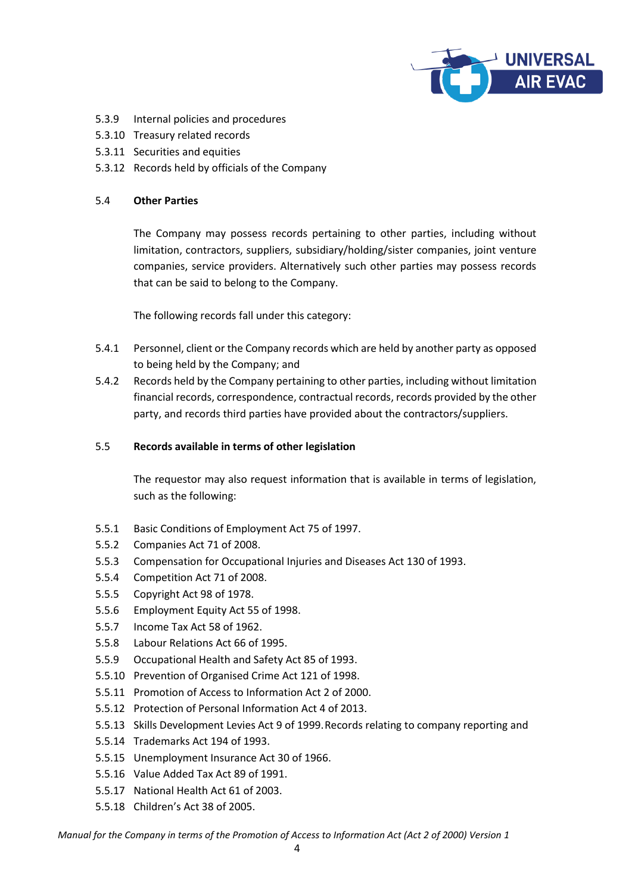

- 5.3.9 Internal policies and procedures
- 5.3.10 Treasury related records
- 5.3.11 Securities and equities
- 5.3.12 Records held by officials of the Company

## 5.4 **Other Parties**

The Company may possess records pertaining to other parties, including without limitation, contractors, suppliers, subsidiary/holding/sister companies, joint venture companies, service providers. Alternatively such other parties may possess records that can be said to belong to the Company.

The following records fall under this category:

- 5.4.1 Personnel, client or the Company records which are held by another party as opposed to being held by the Company; and
- 5.4.2 Records held by the Company pertaining to other parties, including without limitation financial records, correspondence, contractual records, records provided by the other party, and records third parties have provided about the contractors/suppliers.

## 5.5 **Records available in terms of other legislation**

The requestor may also request information that is available in terms of legislation, such as the following:

- 5.5.1 Basic Conditions of Employment Act 75 of 1997.
- 5.5.2 Companies Act 71 of 2008.
- 5.5.3 Compensation for Occupational Injuries and Diseases Act 130 of 1993.
- 5.5.4 Competition Act 71 of 2008.
- 5.5.5 Copyright Act 98 of 1978.
- 5.5.6 Employment Equity Act 55 of 1998.
- 5.5.7 Income Tax Act 58 of 1962.
- 5.5.8 Labour Relations Act 66 of 1995.
- 5.5.9 Occupational Health and Safety Act 85 of 1993.
- 5.5.10 Prevention of Organised Crime Act 121 of 1998.
- 5.5.11 Promotion of Access to Information Act 2 of 2000.
- 5.5.12 Protection of Personal Information Act 4 of 2013.
- 5.5.13 Skills Development Levies Act 9 of 1999.Records relating to company reporting and
- 5.5.14 Trademarks Act 194 of 1993.
- 5.5.15 Unemployment Insurance Act 30 of 1966.
- 5.5.16 Value Added Tax Act 89 of 1991.
- 5.5.17 National Health Act 61 of 2003.
- 5.5.18 Children's Act 38 of 2005.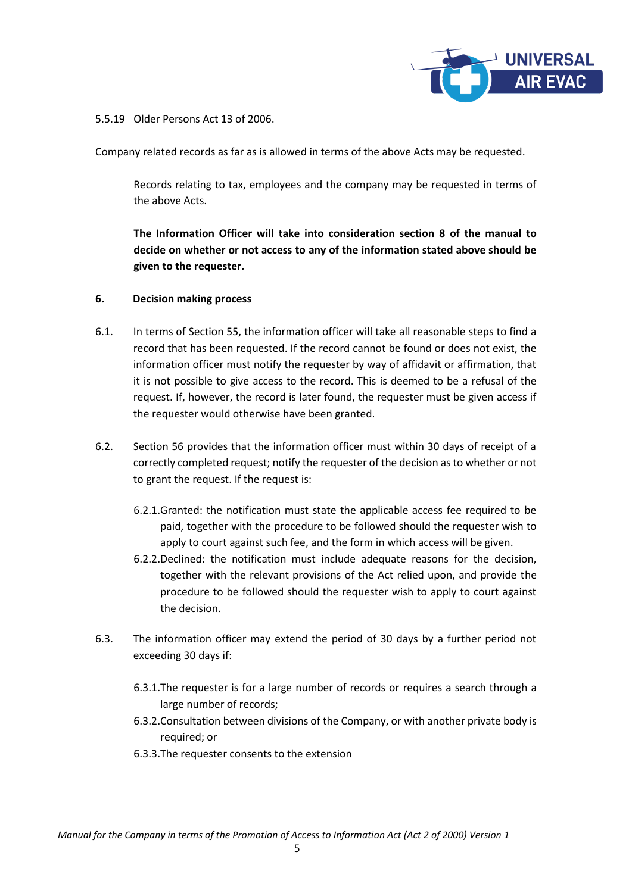

5.5.19 Older Persons Act 13 of 2006.

Company related records as far as is allowed in terms of the above Acts may be requested.

Records relating to tax, employees and the company may be requested in terms of the above Acts.

**The Information Officer will take into consideration section 8 of the manual to decide on whether or not access to any of the information stated above should be given to the requester.**

## **6. Decision making process**

- 6.1. In terms of Section 55, the information officer will take all reasonable steps to find a record that has been requested. If the record cannot be found or does not exist, the information officer must notify the requester by way of affidavit or affirmation, that it is not possible to give access to the record. This is deemed to be a refusal of the request. If, however, the record is later found, the requester must be given access if the requester would otherwise have been granted.
- 6.2. Section 56 provides that the information officer must within 30 days of receipt of a correctly completed request; notify the requester of the decision as to whether or not to grant the request. If the request is:
	- 6.2.1.Granted: the notification must state the applicable access fee required to be paid, together with the procedure to be followed should the requester wish to apply to court against such fee, and the form in which access will be given.
	- 6.2.2.Declined: the notification must include adequate reasons for the decision, together with the relevant provisions of the Act relied upon, and provide the procedure to be followed should the requester wish to apply to court against the decision.
- 6.3. The information officer may extend the period of 30 days by a further period not exceeding 30 days if:
	- 6.3.1.The requester is for a large number of records or requires a search through a large number of records;
	- 6.3.2.Consultation between divisions of the Company, or with another private body is required; or
	- 6.3.3.The requester consents to the extension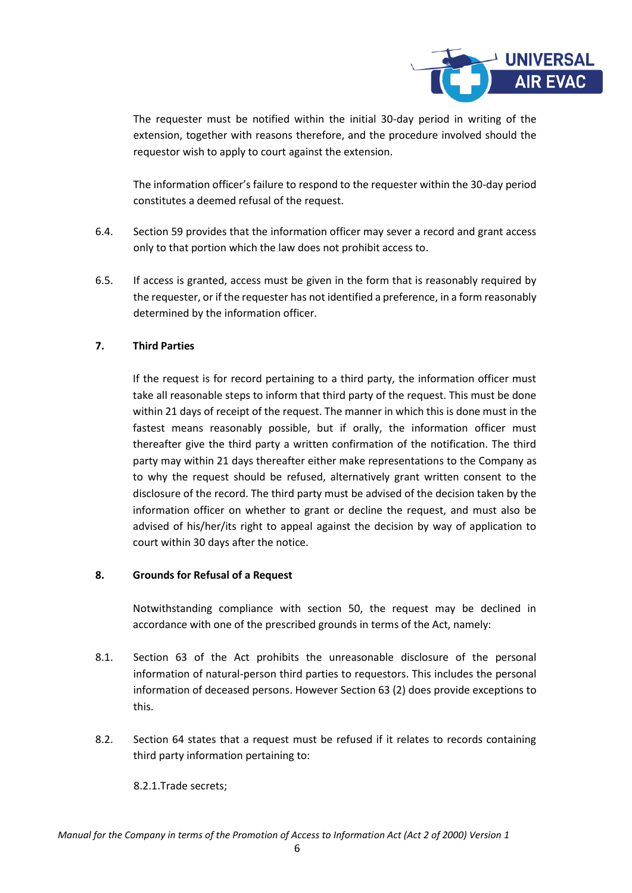

The requester must be notified within the initial 30-day period in writing of the extension, together with reasons therefore, and the procedure involved should the requestor wish to apply to court against the extension.

The information officer's failure to respond to the requester within the 30-day period constitutes a deemed refusal of the request.

- 6.4. Section 59 provides that the information officer may sever a record and grant access only to that portion which the law does not prohibit access to.
- 6.5. If access is granted, access must be given in the form that is reasonably required by the requester, or if the requester has not identified a preference, in a form reasonably determined by the information officer.

## **7. Third Parties**

If the request is for record pertaining to a third party, the information officer must take all reasonable steps to inform that third party of the request. This must be done within 21 days of receipt of the request. The manner in which this is done must in the fastest means reasonably possible, but if orally, the information officer must thereafter give the third party a written confirmation of the notification. The third party may within 21 days thereafter either make representations to the Company as to why the request should be refused, alternatively grant written consent to the disclosure of the record. The third party must be advised of the decision taken by the information officer on whether to grant or decline the request, and must also be advised of his/her/its right to appeal against the decision by way of application to court within 30 days after the notice.

## **8. Grounds for Refusal of a Request**

Notwithstanding compliance with section 50, the request may be declined in accordance with one of the prescribed grounds in terms of the Act, namely:

- 8.1. Section 63 of the Act prohibits the unreasonable disclosure of the personal information of natural-person third parties to requestors. This includes the personal information of deceased persons. However Section 63 (2) does provide exceptions to this.
- 8.2. Section 64 states that a request must be refused if it relates to records containing third party information pertaining to:

8.2.1.Trade secrets;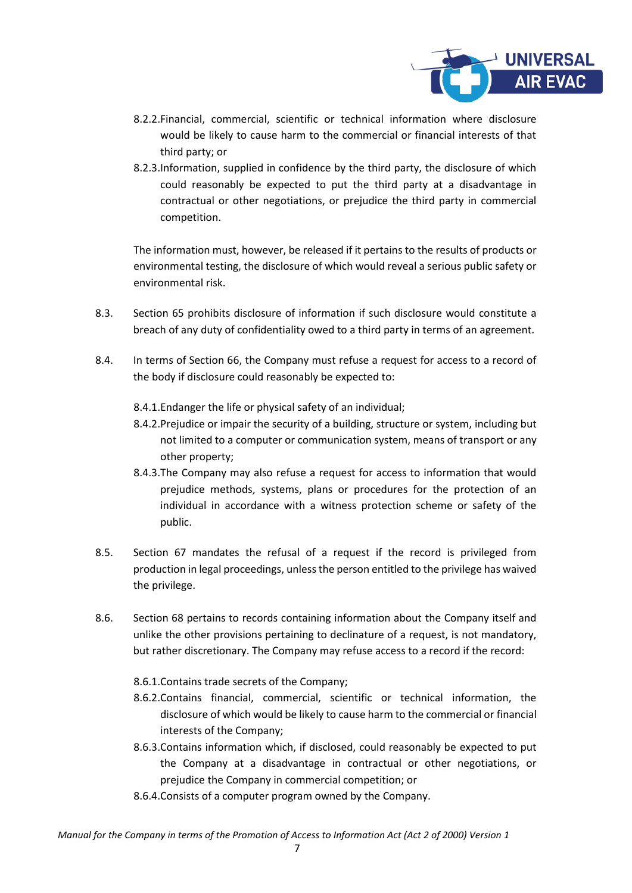

- 8.2.2.Financial, commercial, scientific or technical information where disclosure would be likely to cause harm to the commercial or financial interests of that third party; or
- 8.2.3.Information, supplied in confidence by the third party, the disclosure of which could reasonably be expected to put the third party at a disadvantage in contractual or other negotiations, or prejudice the third party in commercial competition.

The information must, however, be released if it pertains to the results of products or environmental testing, the disclosure of which would reveal a serious public safety or environmental risk.

- 8.3. Section 65 prohibits disclosure of information if such disclosure would constitute a breach of any duty of confidentiality owed to a third party in terms of an agreement.
- 8.4. In terms of Section 66, the Company must refuse a request for access to a record of the body if disclosure could reasonably be expected to:
	- 8.4.1.Endanger the life or physical safety of an individual;
	- 8.4.2.Prejudice or impair the security of a building, structure or system, including but not limited to a computer or communication system, means of transport or any other property;
	- 8.4.3.The Company may also refuse a request for access to information that would prejudice methods, systems, plans or procedures for the protection of an individual in accordance with a witness protection scheme or safety of the public.
- 8.5. Section 67 mandates the refusal of a request if the record is privileged from production in legal proceedings, unless the person entitled to the privilege has waived the privilege.
- 8.6. Section 68 pertains to records containing information about the Company itself and unlike the other provisions pertaining to declinature of a request, is not mandatory, but rather discretionary. The Company may refuse access to a record if the record:
	- 8.6.1.Contains trade secrets of the Company;
	- 8.6.2.Contains financial, commercial, scientific or technical information, the disclosure of which would be likely to cause harm to the commercial or financial interests of the Company;
	- 8.6.3.Contains information which, if disclosed, could reasonably be expected to put the Company at a disadvantage in contractual or other negotiations, or prejudice the Company in commercial competition; or
	- 8.6.4.Consists of a computer program owned by the Company.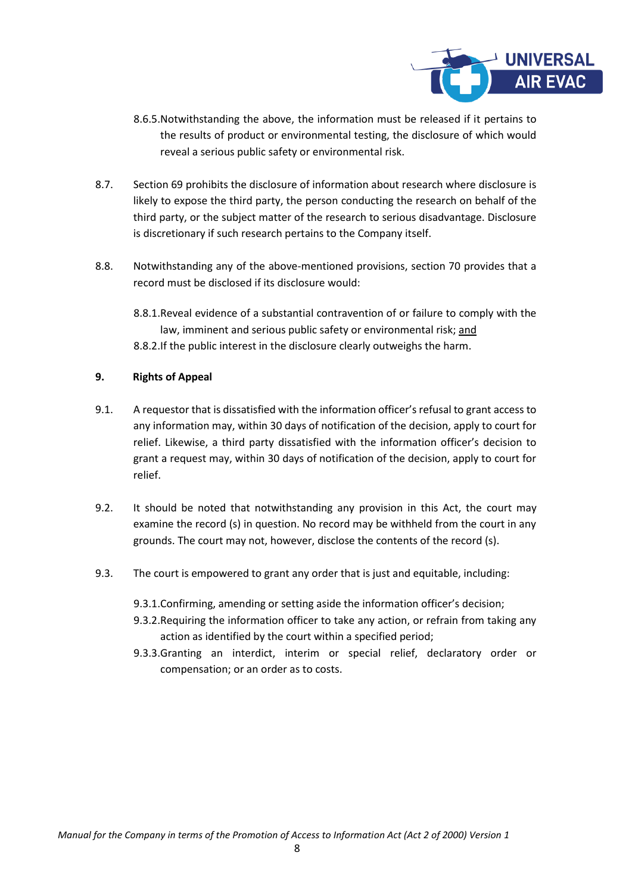

- 8.6.5.Notwithstanding the above, the information must be released if it pertains to the results of product or environmental testing, the disclosure of which would reveal a serious public safety or environmental risk.
- 8.7. Section 69 prohibits the disclosure of information about research where disclosure is likely to expose the third party, the person conducting the research on behalf of the third party, or the subject matter of the research to serious disadvantage. Disclosure is discretionary if such research pertains to the Company itself.
- 8.8. Notwithstanding any of the above-mentioned provisions, section 70 provides that a record must be disclosed if its disclosure would:
	- 8.8.1.Reveal evidence of a substantial contravention of or failure to comply with the law, imminent and serious public safety or environmental risk; and 8.8.2.If the public interest in the disclosure clearly outweighs the harm.

## **9. Rights of Appeal**

- 9.1. A requestor that is dissatisfied with the information officer's refusal to grant access to any information may, within 30 days of notification of the decision, apply to court for relief. Likewise, a third party dissatisfied with the information officer's decision to grant a request may, within 30 days of notification of the decision, apply to court for relief.
- 9.2. It should be noted that notwithstanding any provision in this Act, the court may examine the record (s) in question. No record may be withheld from the court in any grounds. The court may not, however, disclose the contents of the record (s).
- 9.3. The court is empowered to grant any order that is just and equitable, including:
	- 9.3.1.Confirming, amending or setting aside the information officer's decision;
	- 9.3.2.Requiring the information officer to take any action, or refrain from taking any action as identified by the court within a specified period;
	- 9.3.3.Granting an interdict, interim or special relief, declaratory order or compensation; or an order as to costs.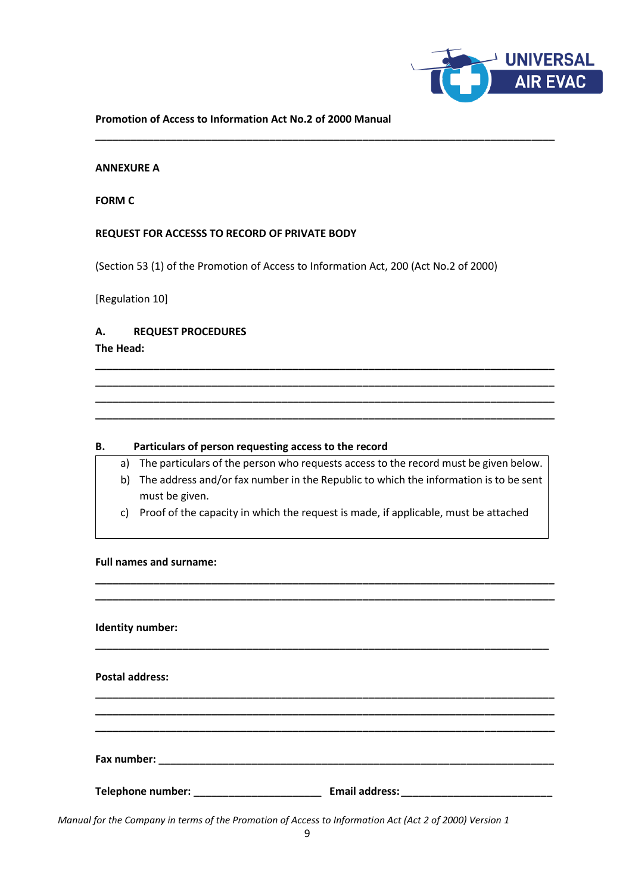

#### **Promotion of Access to Information Act No.2 of 2000 Manual**

#### **ANNEXURE A**

**FORM C**

#### **REQUEST FOR ACCESSS TO RECORD OF PRIVATE BODY**

(Section 53 (1) of the Promotion of Access to Information Act, 200 (Act No.2 of 2000)

**\_\_\_\_\_\_\_\_\_\_\_\_\_\_\_\_\_\_\_\_\_\_\_\_\_\_\_\_\_\_\_\_\_\_\_\_\_\_\_\_\_\_\_\_\_\_\_\_\_\_\_\_\_\_\_\_\_\_\_\_\_\_\_\_\_\_\_\_\_\_\_\_\_\_\_\_\_\_\_**

[Regulation 10]

## **A. REQUEST PROCEDURES**

**The Head:**

#### **B. Particulars of person requesting access to the record**

a) The particulars of the person who requests access to the record must be given below.

**\_\_\_\_\_\_\_\_\_\_\_\_\_\_\_\_\_\_\_\_\_\_\_\_\_\_\_\_\_\_\_\_\_\_\_\_\_\_\_\_\_\_\_\_\_\_\_\_\_\_\_\_\_\_\_\_\_\_\_\_\_\_\_\_\_\_\_\_\_\_\_\_\_\_\_\_\_\_\_ \_\_\_\_\_\_\_\_\_\_\_\_\_\_\_\_\_\_\_\_\_\_\_\_\_\_\_\_\_\_\_\_\_\_\_\_\_\_\_\_\_\_\_\_\_\_\_\_\_\_\_\_\_\_\_\_\_\_\_\_\_\_\_\_\_\_\_\_\_\_\_\_\_\_\_\_\_\_\_ \_\_\_\_\_\_\_\_\_\_\_\_\_\_\_\_\_\_\_\_\_\_\_\_\_\_\_\_\_\_\_\_\_\_\_\_\_\_\_\_\_\_\_\_\_\_\_\_\_\_\_\_\_\_\_\_\_\_\_\_\_\_\_\_\_\_\_\_\_\_\_\_\_\_\_\_\_\_\_ \_\_\_\_\_\_\_\_\_\_\_\_\_\_\_\_\_\_\_\_\_\_\_\_\_\_\_\_\_\_\_\_\_\_\_\_\_\_\_\_\_\_\_\_\_\_\_\_\_\_\_\_\_\_\_\_\_\_\_\_\_\_\_\_\_\_\_\_\_\_\_\_\_\_\_\_\_\_\_**

- b) The address and/or fax number in the Republic to which the information is to be sent must be given.
- c) Proof of the capacity in which the request is made, if applicable, must be attached

**\_\_\_\_\_\_\_\_\_\_\_\_\_\_\_\_\_\_\_\_\_\_\_\_\_\_\_\_\_\_\_\_\_\_\_\_\_\_\_\_\_\_\_\_\_\_\_\_\_\_\_\_\_\_\_\_\_\_\_\_\_\_\_\_\_\_\_\_\_\_\_\_\_\_\_\_\_\_\_ \_\_\_\_\_\_\_\_\_\_\_\_\_\_\_\_\_\_\_\_\_\_\_\_\_\_\_\_\_\_\_\_\_\_\_\_\_\_\_\_\_\_\_\_\_\_\_\_\_\_\_\_\_\_\_\_\_\_\_\_\_\_\_\_\_\_\_\_\_\_\_\_\_\_\_\_\_\_\_**

#### **Full names and surname:**

# **Identity number: \_\_\_\_\_\_\_\_\_\_\_\_\_\_\_\_\_\_\_\_\_\_\_\_\_\_\_\_\_\_\_\_\_\_\_\_\_\_\_\_\_\_\_\_\_\_\_\_\_\_\_\_\_\_\_\_\_\_\_\_\_\_\_\_\_\_\_\_\_\_\_\_\_\_\_\_\_\_ Postal address: \_\_\_\_\_\_\_\_\_\_\_\_\_\_\_\_\_\_\_\_\_\_\_\_\_\_\_\_\_\_\_\_\_\_\_\_\_\_\_\_\_\_\_\_\_\_\_\_\_\_\_\_\_\_\_\_\_\_\_\_\_\_\_\_\_\_\_\_\_\_\_\_\_\_\_\_\_\_\_ \_\_\_\_\_\_\_\_\_\_\_\_\_\_\_\_\_\_\_\_\_\_\_\_\_\_\_\_\_\_\_\_\_\_\_\_\_\_\_\_\_\_\_\_\_\_\_\_\_\_\_\_\_\_\_\_\_\_\_\_\_\_\_\_\_\_\_\_\_\_\_\_\_\_\_\_\_\_\_ \_\_\_\_\_\_\_\_\_\_\_\_\_\_\_\_\_\_\_\_\_\_\_\_\_\_\_\_\_\_\_\_\_\_\_\_\_\_\_\_\_\_\_\_\_\_\_\_\_\_\_\_\_\_\_\_\_\_\_\_\_\_\_\_\_\_\_\_\_\_\_\_\_\_\_\_\_\_\_ Fax number: \_\_\_\_\_\_\_\_\_\_\_\_\_\_\_\_\_\_\_\_\_\_\_\_\_\_\_\_\_\_\_\_\_\_\_\_\_\_\_\_\_\_\_\_\_\_\_\_\_\_\_\_\_\_\_\_\_\_\_\_\_\_\_\_\_\_\_\_ Telephone number: \_\_\_\_\_\_\_\_\_\_\_\_\_\_\_\_\_\_\_\_\_\_ Email address:\_\_\_\_\_\_\_\_\_\_\_\_\_\_\_\_\_\_\_\_\_\_\_\_\_\_**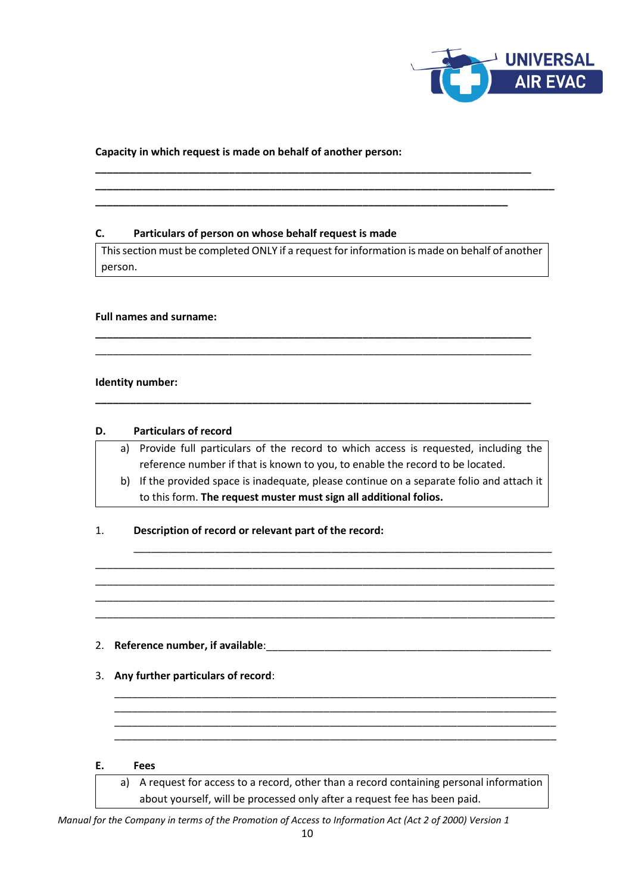

## **Capacity in which request is made on behalf of another person:**

#### **C. Particulars of person on whose behalf request is made**

This section must be completed ONLY if a request for information is made on behalf of another person.

**\_\_\_\_\_\_\_\_\_\_\_\_\_\_\_\_\_\_\_\_\_\_\_\_\_\_\_\_\_\_\_\_\_\_\_\_\_\_\_\_\_\_\_\_\_\_\_\_\_\_\_\_\_\_\_\_\_\_\_\_\_\_\_\_\_\_\_\_\_\_\_\_\_\_\_** \_\_\_\_\_\_\_\_\_\_\_\_\_\_\_\_\_\_\_\_\_\_\_\_\_\_\_\_\_\_\_\_\_\_\_\_\_\_\_\_\_\_\_\_\_\_\_\_\_\_\_\_\_\_\_\_\_\_\_\_\_\_\_\_\_\_\_\_\_\_\_\_\_\_\_

**\_\_\_\_\_\_\_\_\_\_\_\_\_\_\_\_\_\_\_\_\_\_\_\_\_\_\_\_\_\_\_\_\_\_\_\_\_\_\_\_\_\_\_\_\_\_\_\_\_\_\_\_\_\_\_\_\_\_\_\_\_\_\_\_\_\_\_\_\_\_\_\_\_\_\_**

**\_\_\_\_\_\_\_\_\_\_\_\_\_\_\_\_\_\_\_\_\_\_\_\_\_\_\_\_\_\_\_\_\_\_\_\_\_\_\_\_\_\_\_\_\_\_\_\_\_\_\_\_\_\_\_\_\_\_\_\_\_\_\_\_\_\_\_\_\_\_\_\_\_\_\_ \_\_\_\_\_\_\_\_\_\_\_\_\_\_\_\_\_\_\_\_\_\_\_\_\_\_\_\_\_\_\_\_\_\_\_\_\_\_\_\_\_\_\_\_\_\_\_\_\_\_\_\_\_\_\_\_\_\_\_\_\_\_\_\_\_\_\_\_\_\_\_\_\_\_\_\_\_\_\_**

**\_\_\_\_\_\_\_\_\_\_\_\_\_\_\_\_\_\_\_\_\_\_\_\_\_\_\_\_\_\_\_\_\_\_\_\_\_\_\_\_\_\_\_\_\_\_\_\_\_\_\_\_\_\_\_\_\_\_\_\_\_\_\_\_\_\_\_\_\_\_\_**

## **Full names and surname:**

#### **Identity number:**

#### **D. Particulars of record**

- a) Provide full particulars of the record to which access is requested, including the reference number if that is known to you, to enable the record to be located.
- b) If the provided space is inadequate, please continue on a separate folio and attach it to this form. **The request muster must sign all additional folios.**

\_\_\_\_\_\_\_\_\_\_\_\_\_\_\_\_\_\_\_\_\_\_\_\_\_\_\_\_\_\_\_\_\_\_\_\_\_\_\_\_\_\_\_\_\_\_\_\_\_\_\_\_\_\_\_\_\_\_\_\_\_\_\_\_\_\_\_\_\_\_\_\_

\_\_\_\_\_\_\_\_\_\_\_\_\_\_\_\_\_\_\_\_\_\_\_\_\_\_\_\_\_\_\_\_\_\_\_\_\_\_\_\_\_\_\_\_\_\_\_\_\_\_\_\_\_\_\_\_\_\_\_\_\_\_\_\_\_\_\_\_\_\_\_\_\_\_\_\_\_\_\_ \_\_\_\_\_\_\_\_\_\_\_\_\_\_\_\_\_\_\_\_\_\_\_\_\_\_\_\_\_\_\_\_\_\_\_\_\_\_\_\_\_\_\_\_\_\_\_\_\_\_\_\_\_\_\_\_\_\_\_\_\_\_\_\_\_\_\_\_\_\_\_\_\_\_\_\_\_\_\_ \_\_\_\_\_\_\_\_\_\_\_\_\_\_\_\_\_\_\_\_\_\_\_\_\_\_\_\_\_\_\_\_\_\_\_\_\_\_\_\_\_\_\_\_\_\_\_\_\_\_\_\_\_\_\_\_\_\_\_\_\_\_\_\_\_\_\_\_\_\_\_\_\_\_\_\_\_\_\_ \_\_\_\_\_\_\_\_\_\_\_\_\_\_\_\_\_\_\_\_\_\_\_\_\_\_\_\_\_\_\_\_\_\_\_\_\_\_\_\_\_\_\_\_\_\_\_\_\_\_\_\_\_\_\_\_\_\_\_\_\_\_\_\_\_\_\_\_\_\_\_\_\_\_\_\_\_\_\_

## 1. **Description of record or relevant part of the record:**

## 2. **Reference number, if available**:\_\_\_\_\_\_\_\_\_\_\_\_\_\_\_\_\_\_\_\_\_\_\_\_\_\_\_\_\_\_\_\_\_\_\_\_\_\_\_\_\_\_\_\_\_\_\_\_\_

- 3. **Any further particulars of record**:
- **E. Fees**

a) A request for access to a record, other than a record containing personal information about yourself, will be processed only after a request fee has been paid.

\_\_\_\_\_\_\_\_\_\_\_\_\_\_\_\_\_\_\_\_\_\_\_\_\_\_\_\_\_\_\_\_\_\_\_\_\_\_\_\_\_\_\_\_\_\_\_\_\_\_\_\_\_\_\_\_\_\_\_\_\_\_\_\_\_\_\_\_\_\_\_\_\_\_\_\_ \_\_\_\_\_\_\_\_\_\_\_\_\_\_\_\_\_\_\_\_\_\_\_\_\_\_\_\_\_\_\_\_\_\_\_\_\_\_\_\_\_\_\_\_\_\_\_\_\_\_\_\_\_\_\_\_\_\_\_\_\_\_\_\_\_\_\_\_\_\_\_\_\_\_\_\_ \_\_\_\_\_\_\_\_\_\_\_\_\_\_\_\_\_\_\_\_\_\_\_\_\_\_\_\_\_\_\_\_\_\_\_\_\_\_\_\_\_\_\_\_\_\_\_\_\_\_\_\_\_\_\_\_\_\_\_\_\_\_\_\_\_\_\_\_\_\_\_\_\_\_\_\_ \_\_\_\_\_\_\_\_\_\_\_\_\_\_\_\_\_\_\_\_\_\_\_\_\_\_\_\_\_\_\_\_\_\_\_\_\_\_\_\_\_\_\_\_\_\_\_\_\_\_\_\_\_\_\_\_\_\_\_\_\_\_\_\_\_\_\_\_\_\_\_\_\_\_\_\_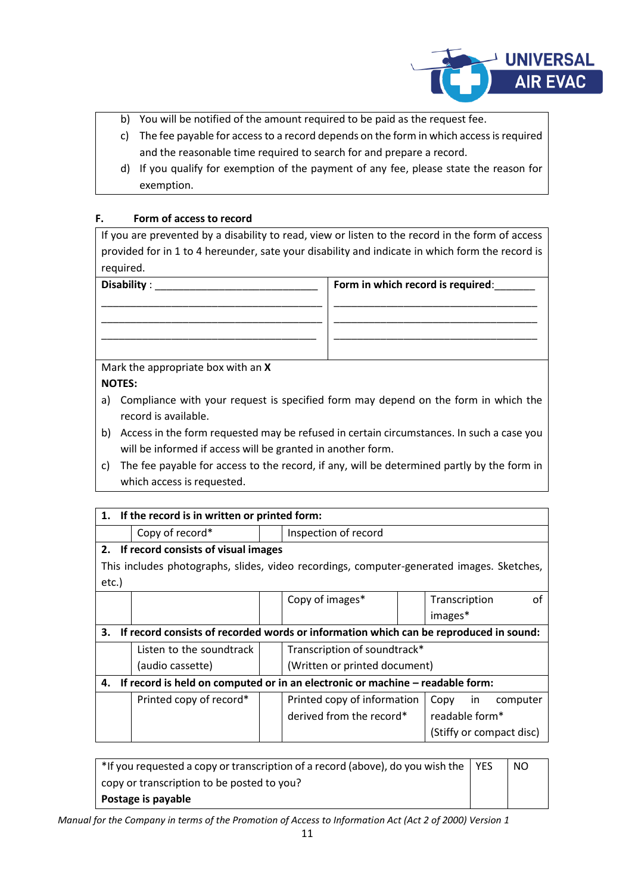

- b) You will be notified of the amount required to be paid as the request fee.
- c) The fee payable for access to a record depends on the form in which access is required and the reasonable time required to search for and prepare a record.
- d) If you qualify for exemption of the payment of any fee, please state the reason for exemption.

## **F. Form of access to record**

If you are prevented by a disability to read, view or listen to the record in the form of access provided for in 1 to 4 hereunder, sate your disability and indicate in which form the record is required.

| <b>Disability</b> |  |
|-------------------|--|
|                   |  |

| Disability : <b>Example 2</b> | Form in which record is required: |
|-------------------------------|-----------------------------------|
|                               |                                   |
|                               |                                   |
|                               |                                   |
|                               |                                   |
|                               |                                   |

Mark the appropriate box with an **X NOTES:**

- a) Compliance with your request is specified form may depend on the form in which the record is available.
- b) Access in the form requested may be refused in certain circumstances. In such a case you will be informed if access will be granted in another form.
- c) The fee payable for access to the record, if any, will be determined partly by the form in which access is requested.

| If the record is in written or printed form:<br>1.                                  |                                                                                           |                      |                               |  |                |    |                          |
|-------------------------------------------------------------------------------------|-------------------------------------------------------------------------------------------|----------------------|-------------------------------|--|----------------|----|--------------------------|
|                                                                                     | Copy of record*                                                                           | Inspection of record |                               |  |                |    |                          |
|                                                                                     | 2. If record consists of visual images                                                    |                      |                               |  |                |    |                          |
|                                                                                     | This includes photographs, slides, video recordings, computer-generated images. Sketches, |                      |                               |  |                |    |                          |
| $etc.$ )                                                                            |                                                                                           |                      |                               |  |                |    |                          |
|                                                                                     |                                                                                           |                      | Copy of images*               |  | Transcription  |    | Ωt                       |
|                                                                                     |                                                                                           |                      |                               |  | images*        |    |                          |
| 3.                                                                                  | If record consists of recorded words or information which can be reproduced in sound:     |                      |                               |  |                |    |                          |
|                                                                                     | Listen to the soundtrack<br>Transcription of soundtrack*                                  |                      |                               |  |                |    |                          |
|                                                                                     | (audio cassette)                                                                          |                      | (Written or printed document) |  |                |    |                          |
| If record is held on computed or in an electronic or machine - readable form:<br>4. |                                                                                           |                      |                               |  |                |    |                          |
|                                                                                     | Printed copy of record*                                                                   |                      | Printed copy of information   |  | Copy           | in | computer                 |
|                                                                                     |                                                                                           |                      | derived from the record*      |  | readable form* |    |                          |
|                                                                                     |                                                                                           |                      |                               |  |                |    | (Stiffy or compact disc) |

| *If you requested a copy or transcription of a record (above), do you wish the $\vert$ YES | NO. |
|--------------------------------------------------------------------------------------------|-----|
| copy or transcription to be posted to you?                                                 |     |
| Postage is payable                                                                         |     |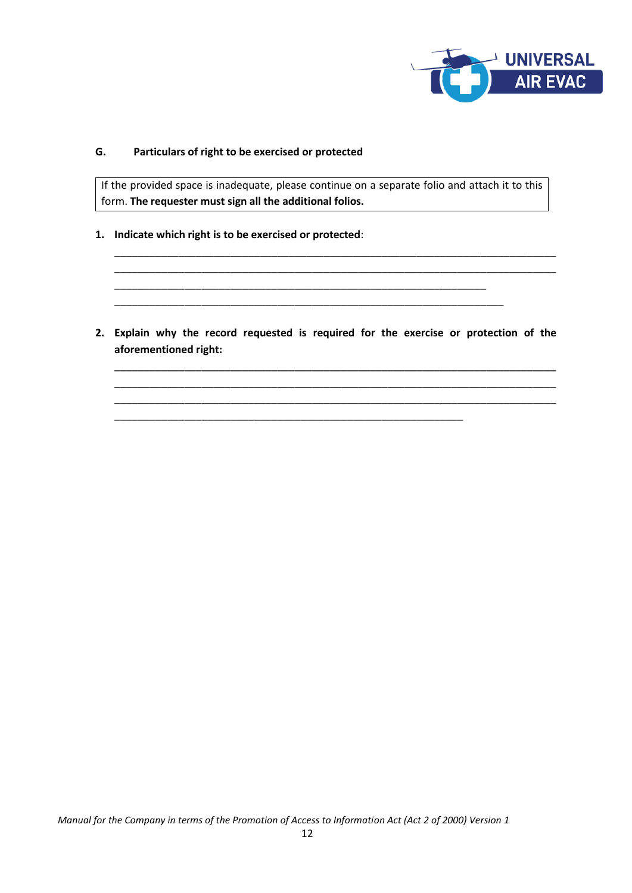

## **G. Particulars of right to be exercised or protected**

If the provided space is inadequate, please continue on a separate folio and attach it to this form. **The requester must sign all the additional folios.**

\_\_\_\_\_\_\_\_\_\_\_\_\_\_\_\_\_\_\_\_\_\_\_\_\_\_\_\_\_\_\_\_\_\_\_\_\_\_\_\_\_\_\_\_\_\_\_\_\_\_\_\_\_\_\_\_\_\_\_\_\_\_\_\_\_\_\_\_\_\_\_\_\_\_\_\_ \_\_\_\_\_\_\_\_\_\_\_\_\_\_\_\_\_\_\_\_\_\_\_\_\_\_\_\_\_\_\_\_\_\_\_\_\_\_\_\_\_\_\_\_\_\_\_\_\_\_\_\_\_\_\_\_\_\_\_\_\_\_\_\_\_\_\_\_\_\_\_\_\_\_\_\_

- **1. Indicate which right is to be exercised or protected**:
- **2. Explain why the record requested is required for the exercise or protection of the aforementioned right:**

\_\_\_\_\_\_\_\_\_\_\_\_\_\_\_\_\_\_\_\_\_\_\_\_\_\_\_\_\_\_\_\_\_\_\_\_\_\_\_\_\_\_\_\_\_\_\_\_\_\_\_\_\_\_\_\_\_\_\_\_\_\_\_\_\_\_\_\_\_\_\_\_\_\_\_\_ \_\_\_\_\_\_\_\_\_\_\_\_\_\_\_\_\_\_\_\_\_\_\_\_\_\_\_\_\_\_\_\_\_\_\_\_\_\_\_\_\_\_\_\_\_\_\_\_\_\_\_\_\_\_\_\_\_\_\_\_\_\_\_\_\_\_\_\_\_\_\_\_\_\_\_\_ \_\_\_\_\_\_\_\_\_\_\_\_\_\_\_\_\_\_\_\_\_\_\_\_\_\_\_\_\_\_\_\_\_\_\_\_\_\_\_\_\_\_\_\_\_\_\_\_\_\_\_\_\_\_\_\_\_\_\_\_\_\_\_\_\_\_\_\_\_\_\_\_\_\_\_\_

\_\_\_\_\_\_\_\_\_\_\_\_\_\_\_\_\_\_\_\_\_\_\_\_\_\_\_\_\_\_\_\_\_\_\_\_\_\_\_\_\_\_\_\_\_\_\_\_\_\_\_\_\_\_\_\_\_\_\_\_\_\_\_\_ \_\_\_\_\_\_\_\_\_\_\_\_\_\_\_\_\_\_\_\_\_\_\_\_\_\_\_\_\_\_\_\_\_\_\_\_\_\_\_\_\_\_\_\_\_\_\_\_\_\_\_\_\_\_\_\_\_\_\_\_\_\_\_\_\_\_\_

\_\_\_\_\_\_\_\_\_\_\_\_\_\_\_\_\_\_\_\_\_\_\_\_\_\_\_\_\_\_\_\_\_\_\_\_\_\_\_\_\_\_\_\_\_\_\_\_\_\_\_\_\_\_\_\_\_\_\_\_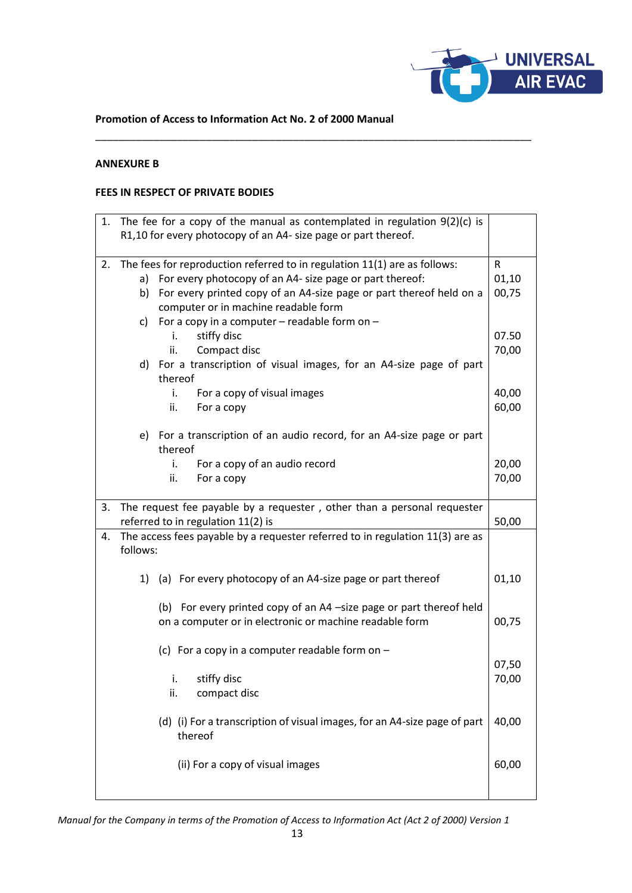

#### **Promotion of Access to Information Act No. 2 of 2000 Manual**

\_\_\_\_\_\_\_\_\_\_\_\_\_\_\_\_\_\_\_\_\_\_\_\_\_\_\_\_\_\_\_\_\_\_\_\_\_\_\_\_\_\_\_\_\_\_\_\_\_\_\_\_\_\_\_\_\_\_\_\_\_\_\_\_\_\_\_\_\_\_\_\_\_\_\_

#### **ANNEXURE B**

## **FEES IN RESPECT OF PRIVATE BODIES**

| 1. The fee for a copy of the manual as contemplated in regulation $9(2)(c)$ is |                                                                                                                   |                                                                               |            |  |  |
|--------------------------------------------------------------------------------|-------------------------------------------------------------------------------------------------------------------|-------------------------------------------------------------------------------|------------|--|--|
| R1,10 for every photocopy of an A4- size page or part thereof.                 |                                                                                                                   |                                                                               |            |  |  |
|                                                                                |                                                                                                                   |                                                                               |            |  |  |
| 2.                                                                             | The fees for reproduction referred to in regulation 11(1) are as follows:                                         |                                                                               |            |  |  |
|                                                                                |                                                                                                                   | a) For every photocopy of an A4- size page or part thereof:                   | R<br>01,10 |  |  |
|                                                                                |                                                                                                                   |                                                                               |            |  |  |
|                                                                                | For every printed copy of an A4-size page or part thereof held on a<br>b)<br>computer or in machine readable form |                                                                               |            |  |  |
|                                                                                |                                                                                                                   |                                                                               |            |  |  |
|                                                                                | c)                                                                                                                | For a copy in a computer $-$ readable form on $-$                             |            |  |  |
|                                                                                |                                                                                                                   | stiffy disc<br>i.                                                             | 07.50      |  |  |
|                                                                                |                                                                                                                   | ii.<br>Compact disc                                                           | 70,00      |  |  |
|                                                                                |                                                                                                                   | d) For a transcription of visual images, for an A4-size page of part          |            |  |  |
|                                                                                |                                                                                                                   | thereof                                                                       |            |  |  |
|                                                                                |                                                                                                                   | For a copy of visual images<br>i.                                             | 40,00      |  |  |
|                                                                                |                                                                                                                   | ii.<br>For a copy                                                             | 60,00      |  |  |
|                                                                                |                                                                                                                   |                                                                               |            |  |  |
|                                                                                |                                                                                                                   | e) For a transcription of an audio record, for an A4-size page or part        |            |  |  |
|                                                                                |                                                                                                                   | thereof                                                                       |            |  |  |
|                                                                                |                                                                                                                   | i.<br>For a copy of an audio record                                           | 20,00      |  |  |
|                                                                                |                                                                                                                   | ii.<br>For a copy                                                             | 70,00      |  |  |
|                                                                                |                                                                                                                   |                                                                               |            |  |  |
| 3.                                                                             |                                                                                                                   | The request fee payable by a requester, other than a personal requester       |            |  |  |
|                                                                                | referred to in regulation 11(2) is                                                                                |                                                                               |            |  |  |
| 4.                                                                             |                                                                                                                   | The access fees payable by a requester referred to in regulation 11(3) are as | 50,00      |  |  |
|                                                                                | follows:                                                                                                          |                                                                               |            |  |  |
|                                                                                |                                                                                                                   |                                                                               |            |  |  |
|                                                                                |                                                                                                                   |                                                                               |            |  |  |
|                                                                                |                                                                                                                   | 1) (a) For every photocopy of an A4-size page or part thereof                 | 01,10      |  |  |
|                                                                                |                                                                                                                   |                                                                               |            |  |  |
|                                                                                |                                                                                                                   | (b) For every printed copy of an A4 -size page or part thereof held           |            |  |  |
|                                                                                |                                                                                                                   | on a computer or in electronic or machine readable form                       | 00,75      |  |  |
|                                                                                |                                                                                                                   |                                                                               |            |  |  |
|                                                                                |                                                                                                                   | (c) For a copy in a computer readable form on $-$                             |            |  |  |
|                                                                                |                                                                                                                   |                                                                               | 07,50      |  |  |
|                                                                                |                                                                                                                   | stiffy disc<br>i.                                                             | 70,00      |  |  |
|                                                                                |                                                                                                                   |                                                                               |            |  |  |
|                                                                                |                                                                                                                   | ii.                                                                           |            |  |  |
|                                                                                |                                                                                                                   | compact disc                                                                  |            |  |  |
|                                                                                |                                                                                                                   |                                                                               |            |  |  |
|                                                                                |                                                                                                                   | (d) (i) For a transcription of visual images, for an A4-size page of part     | 40,00      |  |  |
|                                                                                |                                                                                                                   | thereof                                                                       |            |  |  |
|                                                                                |                                                                                                                   |                                                                               |            |  |  |
|                                                                                |                                                                                                                   | (ii) For a copy of visual images                                              | 60,00      |  |  |
|                                                                                |                                                                                                                   |                                                                               |            |  |  |